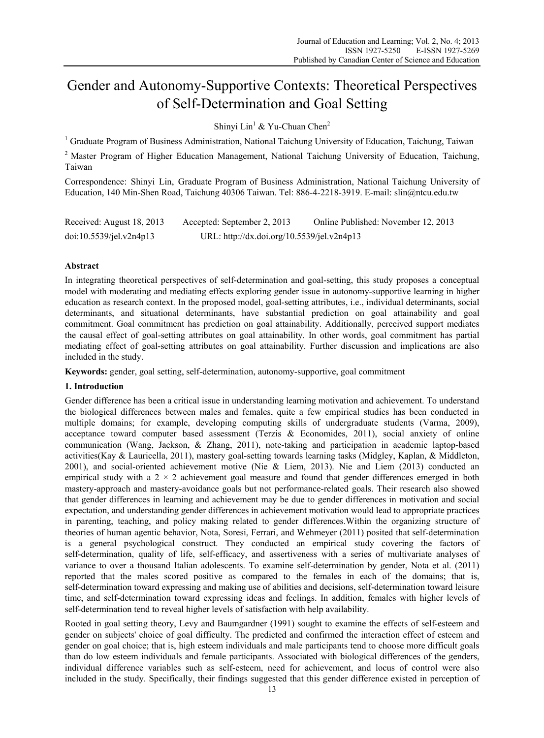# Gender and Autonomy-Supportive Contexts: Theoretical Perspectives of Self-Determination and Goal Setting

Shinyi Lin<sup>1</sup> & Yu-Chuan Chen<sup>2</sup>

<sup>1</sup> Graduate Program of Business Administration, National Taichung University of Education, Taichung, Taiwan

<sup>2</sup> Master Program of Higher Education Management, National Taichung University of Education, Taichung, Taiwan

Correspondence: Shinyi Lin, Graduate Program of Business Administration, National Taichung University of Education, 140 Min-Shen Road, Taichung 40306 Taiwan. Tel: 886-4-2218-3919. E-mail: slin@ntcu.edu.tw

| Received: August 18, 2013 | Accepted: September 2, 2013                | Online Published: November 12, 2013 |
|---------------------------|--------------------------------------------|-------------------------------------|
| doi:10.5539/1el.v2n4p13   | URL: http://dx.doi.org/10.5539/jel.v2n4p13 |                                     |

# **Abstract**

In integrating theoretical perspectives of self-determination and goal-setting, this study proposes a conceptual model with moderating and mediating effects exploring gender issue in autonomy-supportive learning in higher education as research context. In the proposed model, goal-setting attributes, i.e., individual determinants, social determinants, and situational determinants, have substantial prediction on goal attainability and goal commitment. Goal commitment has prediction on goal attainability. Additionally, perceived support mediates the causal effect of goal-setting attributes on goal attainability. In other words, goal commitment has partial mediating effect of goal-setting attributes on goal attainability. Further discussion and implications are also included in the study.

**Keywords:** gender, goal setting, self-determination, autonomy-supportive, goal commitment

# **1. Introduction**

Gender difference has been a critical issue in understanding learning motivation and achievement. To understand the biological differences between males and females, quite a few empirical studies has been conducted in multiple domains; for example, developing computing skills of undergraduate students (Varma, 2009), acceptance toward computer based assessment (Terzis & Economides, 2011), social anxiety of online communication (Wang, Jackson, & Zhang, 2011), note-taking and participation in academic laptop-based activities(Kay & Lauricella, 2011), mastery goal-setting towards learning tasks (Midgley, Kaplan, & Middleton, 2001), and social-oriented achievement motive (Nie & Liem, 2013). Nie and Liem (2013) conducted an empirical study with a  $2 \times 2$  achievement goal measure and found that gender differences emerged in both mastery-approach and mastery-avoidance goals but not performance-related goals. Their research also showed that gender differences in learning and achievement may be due to gender differences in motivation and social expectation, and understanding gender differences in achievement motivation would lead to appropriate practices in parenting, teaching, and policy making related to gender differences.Within the organizing structure of theories of human agentic behavior, Nota, Soresi, Ferrari, and Wehmeyer (2011) posited that self-determination is a general psychological construct. They conducted an empirical study covering the factors of self-determination, quality of life, self-efficacy, and assertiveness with a series of multivariate analyses of variance to over a thousand Italian adolescents. To examine self-determination by gender, Nota et al. (2011) reported that the males scored positive as compared to the females in each of the domains; that is, self-determination toward expressing and making use of abilities and decisions, self-determination toward leisure time, and self-determination toward expressing ideas and feelings. In addition, females with higher levels of self-determination tend to reveal higher levels of satisfaction with help availability.

Rooted in goal setting theory, Levy and Baumgardner (1991) sought to examine the effects of self-esteem and gender on subjects' choice of goal difficulty. The predicted and confirmed the interaction effect of esteem and gender on goal choice; that is, high esteem individuals and male participants tend to choose more difficult goals than do low esteem individuals and female participants. Associated with biological differences of the genders, individual difference variables such as self-esteem, need for achievement, and locus of control were also included in the study. Specifically, their findings suggested that this gender difference existed in perception of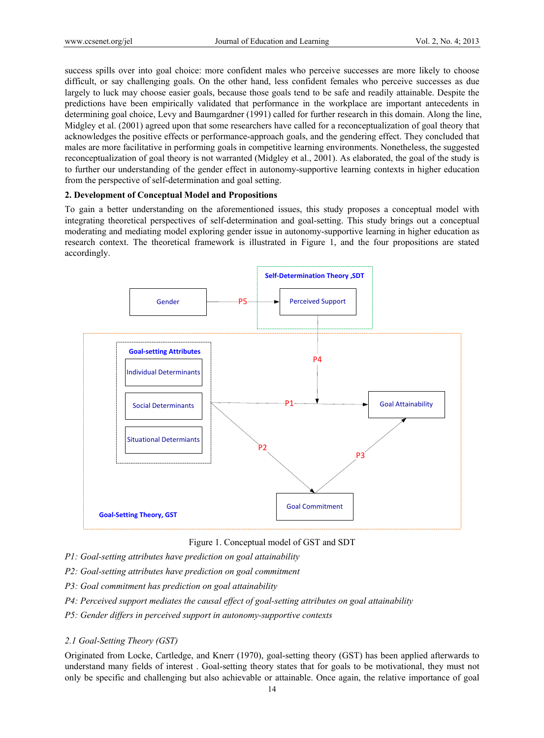success spills over into goal choice: more confident males who perceive successes are more likely to choose difficult, or say challenging goals. On the other hand, less confident females who perceive successes as due largely to luck may choose easier goals, because those goals tend to be safe and readily attainable. Despite the predictions have been empirically validated that performance in the workplace are important antecedents in determining goal choice, Levy and Baumgardner (1991) called for further research in this domain. Along the line, Midgley et al. (2001) agreed upon that some researchers have called for a reconceptualization of goal theory that acknowledges the positive effects or performance-approach goals, and the gendering effect. They concluded that males are more facilitative in performing goals in competitive learning environments. Nonetheless, the suggested reconceptualization of goal theory is not warranted (Midgley et al., 2001). As elaborated, the goal of the study is to further our understanding of the gender effect in autonomy-supportive learning contexts in higher education from the perspective of self-determination and goal setting.

## **2. Development of Conceptual Model and Propositions**

To gain a better understanding on the aforementioned issues, this study proposes a conceptual model with integrating theoretical perspectives of self-determination and goal-setting. This study brings out a conceptual moderating and mediating model exploring gender issue in autonomy-supportive learning in higher education as research context. The theoretical framework is illustrated in Figure 1, and the four propositions are stated accordingly.



Figure 1. Conceptual model of GST and SDT

- *P1: Goal-setting attributes have prediction on goal attainability*
- *P2: Goal-setting attributes have prediction on goal commitment*
- *P3: Goal commitment has prediction on goal attainability*
- *P4: Perceived support mediates the causal effect of goal-setting attributes on goal attainability*
- *P5: Gender differs in perceived support in autonomy-supportive contexts*

## *2.1 Goal-Setting Theory (GST)*

Originated from Locke, Cartledge, and Knerr (1970), goal-setting theory (GST) has been applied afterwards to understand many fields of interest . Goal-setting theory states that for goals to be motivational, they must not only be specific and challenging but also achievable or attainable. Once again, the relative importance of goal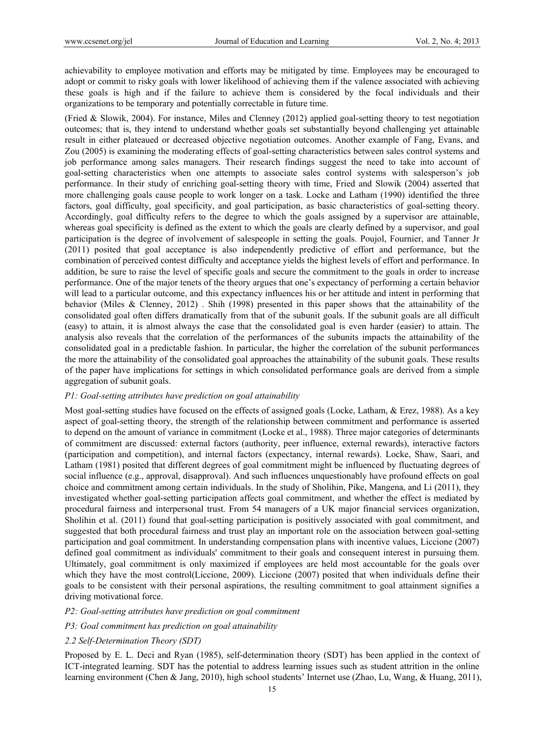achievability to employee motivation and efforts may be mitigated by time. Employees may be encouraged to adopt or commit to risky goals with lower likelihood of achieving them if the valence associated with achieving these goals is high and if the failure to achieve them is considered by the focal individuals and their organizations to be temporary and potentially correctable in future time.

(Fried & Slowik, 2004). For instance, Miles and Clenney (2012) applied goal-setting theory to test negotiation outcomes; that is, they intend to understand whether goals set substantially beyond challenging yet attainable result in either plateaued or decreased objective negotiation outcomes. Another example of Fang, Evans, and Zou (2005) is examining the moderating effects of goal-setting characteristics between sales control systems and job performance among sales managers. Their research findings suggest the need to take into account of goal-setting characteristics when one attempts to associate sales control systems with salesperson's job performance. In their study of enriching goal-setting theory with time, Fried and Slowik (2004) asserted that more challenging goals cause people to work longer on a task. Locke and Latham (1990) identified the three factors, goal difficulty, goal specificity, and goal participation, as basic characteristics of goal-setting theory. Accordingly, goal difficulty refers to the degree to which the goals assigned by a supervisor are attainable, whereas goal specificity is defined as the extent to which the goals are clearly defined by a supervisor, and goal participation is the degree of involvement of salespeople in setting the goals. Poujol, Fournier, and Tanner Jr (2011) posited that goal acceptance is also independently predictive of effort and performance, but the combination of perceived contest difficulty and acceptance yields the highest levels of effort and performance. In addition, be sure to raise the level of specific goals and secure the commitment to the goals in order to increase performance. One of the major tenets of the theory argues that one's expectancy of performing a certain behavior will lead to a particular outcome, and this expectancy influences his or her attitude and intent in performing that behavior (Miles & Clenney, 2012) . Shih (1998) presented in this paper shows that the attainability of the consolidated goal often differs dramatically from that of the subunit goals. If the subunit goals are all difficult (easy) to attain, it is almost always the case that the consolidated goal is even harder (easier) to attain. The analysis also reveals that the correlation of the performances of the subunits impacts the attainability of the consolidated goal in a predictable fashion. In particular, the higher the correlation of the subunit performances the more the attainability of the consolidated goal approaches the attainability of the subunit goals. These results of the paper have implications for settings in which consolidated performance goals are derived from a simple aggregation of subunit goals.

## *P1: Goal-setting attributes have prediction on goal attainability*

Most goal-setting studies have focused on the effects of assigned goals (Locke, Latham, & Erez, 1988). As a key aspect of goal-setting theory, the strength of the relationship between commitment and performance is asserted to depend on the amount of variance in commitment (Locke et al., 1988). Three major categories of determinants of commitment are discussed: external factors (authority, peer influence, external rewards), interactive factors (participation and competition), and internal factors (expectancy, internal rewards). Locke, Shaw, Saari, and Latham (1981) posited that different degrees of goal commitment might be influenced by fluctuating degrees of social influence (e.g., approval, disapproval). And such influences unquestionably have profound effects on goal choice and commitment among certain individuals. In the study of Sholihin, Pike, Mangena, and Li (2011), they investigated whether goal-setting participation affects goal commitment, and whether the effect is mediated by procedural fairness and interpersonal trust. From 54 managers of a UK major financial services organization, Sholihin et al. (2011) found that goal-setting participation is positively associated with goal commitment, and suggested that both procedural fairness and trust play an important role on the association between goal-setting participation and goal commitment. In understanding compensation plans with incentive values, Liccione (2007) defined goal commitment as individuals' commitment to their goals and consequent interest in pursuing them. Ultimately, goal commitment is only maximized if employees are held most accountable for the goals over which they have the most control(Liccione, 2009). Liccione (2007) posited that when individuals define their goals to be consistent with their personal aspirations, the resulting commitment to goal attainment signifies a driving motivational force.

#### *P2: Goal-setting attributes have prediction on goal commitment*

# *P3: Goal commitment has prediction on goal attainability*

# *2.2 Self-Determination Theory (SDT)*

Proposed by E. L. Deci and Ryan (1985), self-determination theory (SDT) has been applied in the context of ICT-integrated learning. SDT has the potential to address learning issues such as student attrition in the online learning environment (Chen & Jang, 2010), high school students' Internet use (Zhao, Lu, Wang, & Huang, 2011),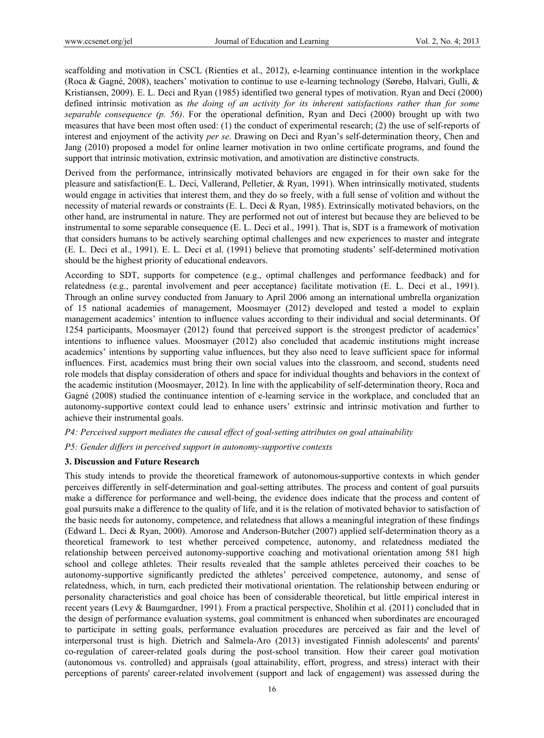scaffolding and motivation in CSCL (Rienties et al., 2012), e-learning continuance intention in the workplace (Roca & Gagné, 2008), teachers' motivation to continue to use e-learning technology (Sørebø, Halvari, Gulli, & Kristiansen, 2009). E. L. Deci and Ryan (1985) identified two general types of motivation. Ryan and Deci (2000) defined intrinsic motivation as *the doing of an activity for its inherent satisfactions rather than for some separable consequence (p. 56)*. For the operational definition, Ryan and Deci (2000) brought up with two measures that have been most often used: (1) the conduct of experimental research; (2) the use of self-reports of interest and enjoyment of the activity *per se*. Drawing on Deci and Ryan's self-determination theory, Chen and Jang (2010) proposed a model for online learner motivation in two online certificate programs, and found the support that intrinsic motivation, extrinsic motivation, and amotivation are distinctive constructs.

Derived from the performance, intrinsically motivated behaviors are engaged in for their own sake for the pleasure and satisfaction(E. L. Deci, Vallerand, Pelletier, & Ryan, 1991). When intrinsically motivated, students would engage in activities that interest them, and they do so freely, with a full sense of volition and without the necessity of material rewards or constraints (E. L. Deci & Ryan, 1985). Extrinsically motivated behaviors, on the other hand, are instrumental in nature. They are performed not out of interest but because they are believed to be instrumental to some separable consequence (E. L. Deci et al., 1991). That is, SDT is a framework of motivation that considers humans to be actively searching optimal challenges and new experiences to master and integrate (E. L. Deci et al., 1991). E. L. Deci et al. (1991) believe that promoting students' self-determined motivation should be the highest priority of educational endeavors.

According to SDT, supports for competence (e.g., optimal challenges and performance feedback) and for relatedness (e.g., parental involvement and peer acceptance) facilitate motivation (E. L. Deci et al., 1991). Through an online survey conducted from January to April 2006 among an international umbrella organization of 15 national academies of management, Moosmayer (2012) developed and tested a model to explain management academics' intention to influence values according to their individual and social determinants. Of 1254 participants, Moosmayer (2012) found that perceived support is the strongest predictor of academics' intentions to influence values. Moosmayer (2012) also concluded that academic institutions might increase academics' intentions by supporting value influences, but they also need to leave sufficient space for informal influences. First, academics must bring their own social values into the classroom, and second, students need role models that display consideration of others and space for individual thoughts and behaviors in the context of the academic institution (Moosmayer, 2012). In line with the applicability of self-determination theory, Roca and Gagné (2008) studied the continuance intention of e-learning service in the workplace, and concluded that an autonomy-supportive context could lead to enhance users' extrinsic and intrinsic motivation and further to achieve their instrumental goals.

*P4: Perceived support mediates the causal effect of goal-setting attributes on goal attainability* 

*P5: Gender differs in perceived support in autonomy-supportive contexts* 

# **3. Discussion and Future Research**

This study intends to provide the theoretical framework of autonomous-supportive contexts in which gender perceives differently in self-determination and goal-setting attributes. The process and content of goal pursuits make a difference for performance and well-being, the evidence does indicate that the process and content of goal pursuits make a difference to the quality of life, and it is the relation of motivated behavior to satisfaction of the basic needs for autonomy, competence, and relatedness that allows a meaningful integration of these findings (Edward L. Deci & Ryan, 2000). Amorose and Anderson-Butcher (2007) applied self-determination theory as a theoretical framework to test whether perceived competence, autonomy, and relatedness mediated the relationship between perceived autonomy-supportive coaching and motivational orientation among 581 high school and college athletes. Their results revealed that the sample athletes perceived their coaches to be autonomy-supportive significantly predicted the athletes' perceived competence, autonomy, and sense of relatedness, which, in turn, each predicted their motivational orientation. The relationship between enduring or personality characteristics and goal choice has been of considerable theoretical, but little empirical interest in recent years (Levy & Baumgardner, 1991). From a practical perspective, Sholihin et al. (2011) concluded that in the design of performance evaluation systems, goal commitment is enhanced when subordinates are encouraged to participate in setting goals, performance evaluation procedures are perceived as fair and the level of interpersonal trust is high. Dietrich and Salmela-Aro (2013) investigated Finnish adolescents' and parents' co-regulation of career-related goals during the post-school transition. How their career goal motivation (autonomous vs. controlled) and appraisals (goal attainability, effort, progress, and stress) interact with their perceptions of parents' career-related involvement (support and lack of engagement) was assessed during the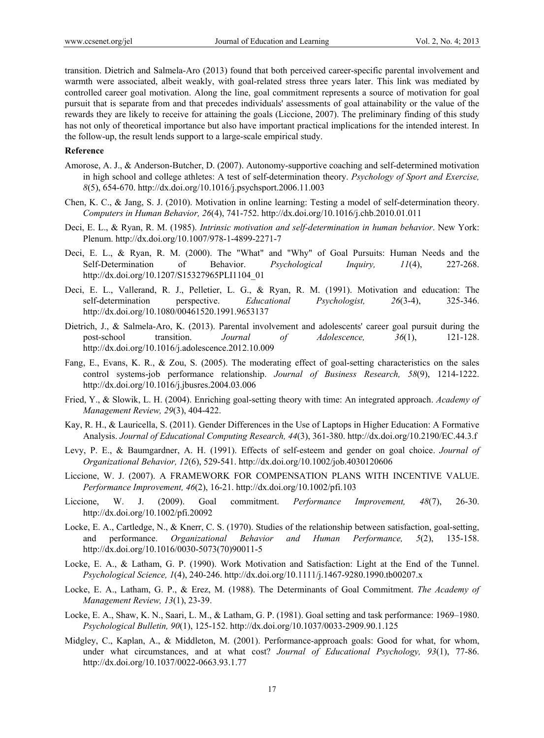transition. Dietrich and Salmela-Aro (2013) found that both perceived career-specific parental involvement and warmth were associated, albeit weakly, with goal-related stress three years later. This link was mediated by controlled career goal motivation. Along the line, goal commitment represents a source of motivation for goal pursuit that is separate from and that precedes individuals' assessments of goal attainability or the value of the rewards they are likely to receive for attaining the goals (Liccione, 2007). The preliminary finding of this study has not only of theoretical importance but also have important practical implications for the intended interest. In the follow-up, the result lends support to a large-scale empirical study.

## **Reference**

- Amorose, A. J., & Anderson-Butcher, D. (2007). Autonomy-supportive coaching and self-determined motivation in high school and college athletes: A test of self-determination theory. *Psychology of Sport and Exercise, 8*(5), 654-670. http://dx.doi.org/10.1016/j.psychsport.2006.11.003
- Chen, K. C., & Jang, S. J. (2010). Motivation in online learning: Testing a model of self-determination theory. *Computers in Human Behavior, 26*(4), 741-752. http://dx.doi.org/10.1016/j.chb.2010.01.011
- Deci, E. L., & Ryan, R. M. (1985). *Intrinsic motivation and self-determination in human behavior*. New York: Plenum. http://dx.doi.org/10.1007/978-1-4899-2271-7
- Deci, E. L., & Ryan, R. M. (2000). The "What" and "Why" of Goal Pursuits: Human Needs and the Self-Determination of Behavior. *Psychological Inquiry, 11*(4), 227-268. http://dx.doi.org/10.1207/S15327965PLI1104\_01
- Deci, E. L., Vallerand, R. J., Pelletier, L. G., & Ryan, R. M. (1991). Motivation and education: The self-determination perspective. *Educational Psychologist, 26*(3-4), 325-346. http://dx.doi.org/10.1080/00461520.1991.9653137
- Dietrich, J., & Salmela-Aro, K. (2013). Parental involvement and adolescents' career goal pursuit during the post-school transition. *Journal of Adolescence, 36*(1), 121-128. http://dx.doi.org/10.1016/j.adolescence.2012.10.009
- Fang, E., Evans, K. R., & Zou, S. (2005). The moderating effect of goal-setting characteristics on the sales control systems-job performance relationship. *Journal of Business Research, 58*(9), 1214-1222. http://dx.doi.org/10.1016/j.jbusres.2004.03.006
- Fried, Y., & Slowik, L. H. (2004). Enriching goal-setting theory with time: An integrated approach. *Academy of Management Review, 29*(3), 404-422.
- Kay, R. H., & Lauricella, S. (2011). Gender Differences in the Use of Laptops in Higher Education: A Formative Analysis. *Journal of Educational Computing Research, 44*(3), 361-380. http://dx.doi.org/10.2190/EC.44.3.f
- Levy, P. E., & Baumgardner, A. H. (1991). Effects of self-esteem and gender on goal choice. *Journal of Organizational Behavior, 12*(6), 529-541. http://dx.doi.org/10.1002/job.4030120606
- Liccione, W. J. (2007). A FRAMEWORK FOR COMPENSATION PLANS WITH INCENTIVE VALUE. *Performance Improvement, 46*(2), 16-21. http://dx.doi.org/10.1002/pfi.103
- Liccione, W. J. (2009). Goal commitment. *Performance Improvement, 48*(7), 26-30. http://dx.doi.org/10.1002/pfi.20092
- Locke, E. A., Cartledge, N., & Knerr, C. S. (1970). Studies of the relationship between satisfaction, goal-setting, and performance. *Organizational Behavior and Human Performance, 5*(2), 135-158. http://dx.doi.org/10.1016/0030-5073(70)90011-5
- Locke, E. A., & Latham, G. P. (1990). Work Motivation and Satisfaction: Light at the End of the Tunnel. *Psychological Science, 1*(4), 240-246. http://dx.doi.org/10.1111/j.1467-9280.1990.tb00207.x
- Locke, E. A., Latham, G. P., & Erez, M. (1988). The Determinants of Goal Commitment. *The Academy of Management Review, 13*(1), 23-39.
- Locke, E. A., Shaw, K. N., Saari, L. M., & Latham, G. P. (1981). Goal setting and task performance: 1969–1980. *Psychological Bulletin, 90*(1), 125-152. http://dx.doi.org/10.1037/0033-2909.90.1.125
- Midgley, C., Kaplan, A., & Middleton, M. (2001). Performance-approach goals: Good for what, for whom, under what circumstances, and at what cost? *Journal of Educational Psychology, 93*(1), 77-86. http://dx.doi.org/10.1037/0022-0663.93.1.77